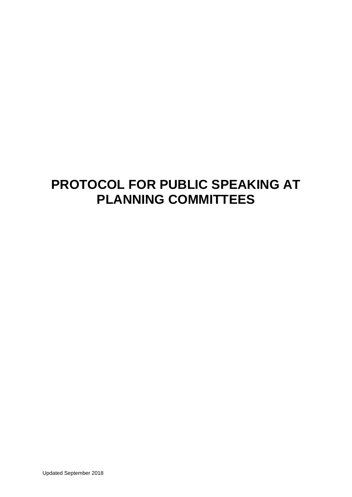# **PROTOCOL FOR PUBLIC SPEAKING AT PLANNING COMMITTEES**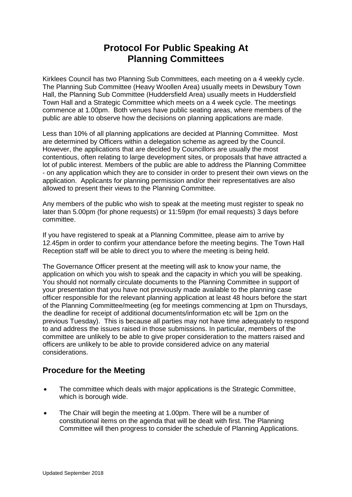## **Protocol For Public Speaking At Planning Committees**

Kirklees Council has two Planning Sub Committees, each meeting on a 4 weekly cycle. The Planning Sub Committee (Heavy Woollen Area) usually meets in Dewsbury Town Hall, the Planning Sub Committee (Huddersfield Area) usually meets in Huddersfield Town Hall and a Strategic Committee which meets on a 4 week cycle. The meetings commence at 1.00pm. Both venues have public seating areas, where members of the public are able to observe how the decisions on planning applications are made.

Less than 10% of all planning applications are decided at Planning Committee. Most are determined by Officers within a delegation scheme as agreed by the Council. However, the applications that are decided by Councillors are usually the most contentious, often relating to large development sites, or proposals that have attracted a lot of public interest. Members of the public are able to address the Planning Committee - on any application which they are to consider in order to present their own views on the application. Applicants for planning permission and/or their representatives are also allowed to present their views to the Planning Committee.

Any members of the public who wish to speak at the meeting must register to speak no later than 5.00pm (for phone requests) or 11:59pm (for email requests) 3 days before committee.

If you have registered to speak at a Planning Committee, please aim to arrive by 12.45pm in order to confirm your attendance before the meeting begins. The Town Hall Reception staff will be able to direct you to where the meeting is being held.

The Governance Officer present at the meeting will ask to know your name, the application on which you wish to speak and the capacity in which you will be speaking. You should not normally circulate documents to the Planning Committee in support of your presentation that you have not previously made available to the planning case officer responsible for the relevant planning application at least 48 hours before the start of the Planning Committee/meeting (eg for meetings commencing at 1pm on Thursdays, the deadline for receipt of additional documents/information etc will be 1pm on the previous Tuesday). This is because all parties may not have time adequately to respond to and address the issues raised in those submissions. In particular, members of the committee are unlikely to be able to give proper consideration to the matters raised and officers are unlikely to be able to provide considered advice on any material considerations.

### **Procedure for the Meeting**

- The committee which deals with major applications is the Strategic Committee, which is borough wide.
- The Chair will begin the meeting at 1.00pm. There will be a number of constitutional items on the agenda that will be dealt with first. The Planning Committee will then progress to consider the schedule of Planning Applications.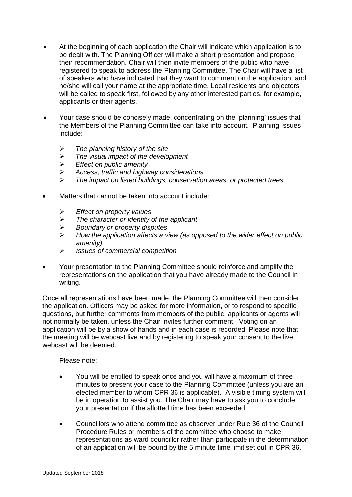- At the beginning of each application the Chair will indicate which application is to be dealt with. The Planning Officer will make a short presentation and propose their recommendation. Chair will then invite members of the public who have registered to speak to address the Planning Committee. The Chair will have a list of speakers who have indicated that they want to comment on the application, and he/she will call your name at the appropriate time. Local residents and objectors will be called to speak first, followed by any other interested parties, for example, applicants or their agents.
- Your case should be concisely made, concentrating on the 'planning' issues that the Members of the Planning Committee can take into account. Planning Issues include:
	- *The planning history of the site*
	- *The visual impact of the development*
	- *Effect on public amenity*
	- *Access, traffic and highway considerations*
	- *The impact on listed buildings, conservation areas, or protected trees.*
- Matters that cannot be taken into account include:
	- *Effect on property values*
	- *The character or identity of the applicant*
	- *Boundary or property disputes*
	- *How the application affects a view (as opposed to the wider effect on public amenity)*
	- *Issues of commercial competition*
- Your presentation to the Planning Committee should reinforce and amplify the representations on the application that you have already made to the Council in writing.

Once all representations have been made, the Planning Committee will then consider the application. Officers may be asked for more information, or to respond to specific questions, but further comments from members of the public, applicants or agents will not normally be taken, unless the Chair invites further comment. Voting on an application will be by a show of hands and in each case is recorded. Please note that the meeting will be webcast live and by registering to speak your consent to the live webcast will be deemed.

Please note:

- You will be entitled to speak once and you will have a maximum of three minutes to present your case to the Planning Committee (unless you are an elected member to whom CPR 36 is applicable). A visible timing system will be in operation to assist you. The Chair may have to ask you to conclude your presentation if the allotted time has been exceeded.
- Councillors who attend committee as observer under Rule 36 of the Council Procedure Rules or members of the committee who choose to make representations as ward councillor rather than participate in the determination of an application will be bound by the 5 minute time limit set out in CPR 36.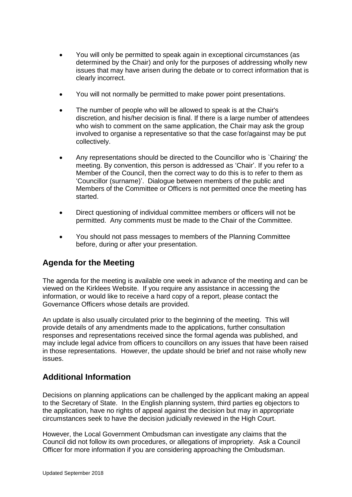- You will only be permitted to speak again in exceptional circumstances (as determined by the Chair) and only for the purposes of addressing wholly new issues that may have arisen during the debate or to correct information that is clearly incorrect.
- You will not normally be permitted to make power point presentations.
- The number of people who will be allowed to speak is at the Chair's discretion, and his/her decision is final. If there is a large number of attendees who wish to comment on the same application, the Chair may ask the group involved to organise a representative so that the case for/against may be put collectively.
- Any representations should be directed to the Councillor who is `Chairing' the meeting. By convention, this person is addressed as 'Chair'. If you refer to a Member of the Council, then the correct way to do this is to refer to them as 'Councillor (surname)'. Dialogue between members of the public and Members of the Committee or Officers is not permitted once the meeting has started.
- Direct questioning of individual committee members or officers will not be permitted. Any comments must be made to the Chair of the Committee.
- You should not pass messages to members of the Planning Committee before, during or after your presentation.

#### **Agenda for the Meeting**

The agenda for the meeting is available one week in advance of the meeting and can be viewed on the Kirklees Website. If you require any assistance in accessing the information, or would like to receive a hard copy of a report, please contact the Governance Officers whose details are provided.

An update is also usually circulated prior to the beginning of the meeting. This will provide details of any amendments made to the applications, further consultation responses and representations received since the formal agenda was published, and may include legal advice from officers to councillors on any issues that have been raised in those representations. However, the update should be brief and not raise wholly new issues.

### **Additional Information**

Decisions on planning applications can be challenged by the applicant making an appeal to the Secretary of State. In the English planning system, third parties eg objectors to the application, have no rights of appeal against the decision but may in appropriate circumstances seek to have the decision judicially reviewed in the High Court.

However, the Local Government Ombudsman can investigate any claims that the Council did not follow its own procedures, or allegations of impropriety. Ask a Council Officer for more information if you are considering approaching the Ombudsman.